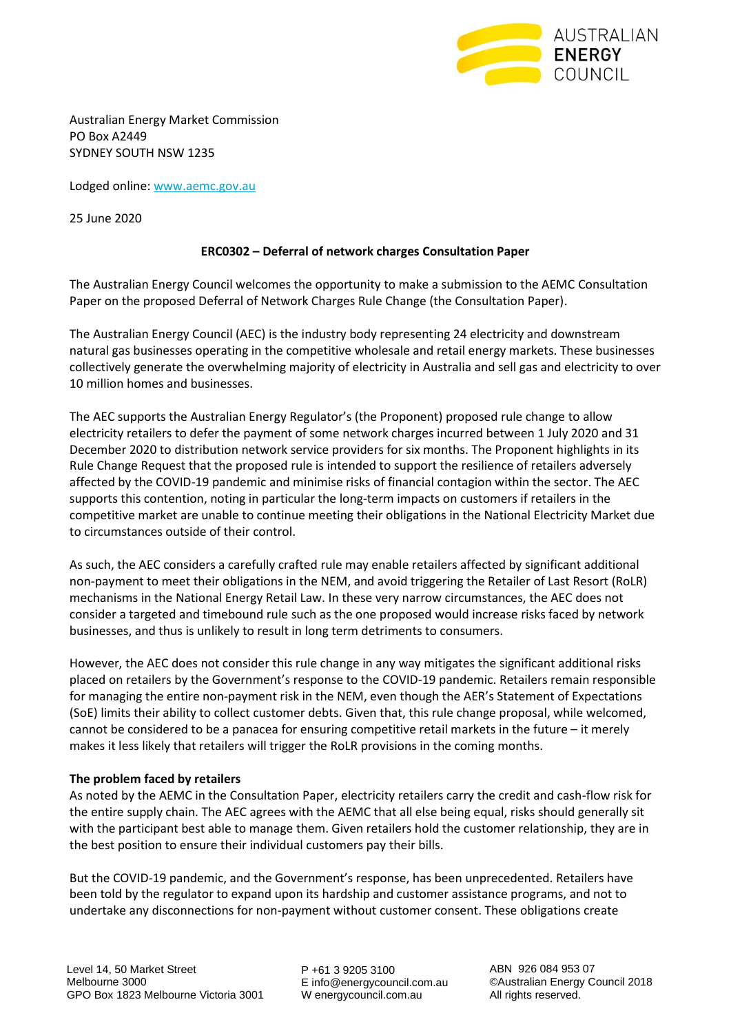

Australian Energy Market Commission PO Box A2449 SYDNEY SOUTH NSW 1235

Lodged online: [www.aemc.gov.au](http://www.aemc.gov.au/)

25 June 2020

### **ERC0302 – Deferral of network charges Consultation Paper**

The Australian Energy Council welcomes the opportunity to make a submission to the AEMC Consultation Paper on the proposed Deferral of Network Charges Rule Change (the Consultation Paper).

The Australian Energy Council (AEC) is the industry body representing 24 electricity and downstream natural gas businesses operating in the competitive wholesale and retail energy markets. These businesses collectively generate the overwhelming majority of electricity in Australia and sell gas and electricity to over 10 million homes and businesses.

The AEC supports the Australian Energy Regulator's (the Proponent) proposed rule change to allow electricity retailers to defer the payment of some network charges incurred between 1 July 2020 and 31 December 2020 to distribution network service providers for six months. The Proponent highlights in its Rule Change Request that the proposed rule is intended to support the resilience of retailers adversely affected by the COVID-19 pandemic and minimise risks of financial contagion within the sector. The AEC supports this contention, noting in particular the long-term impacts on customers if retailers in the competitive market are unable to continue meeting their obligations in the National Electricity Market due to circumstances outside of their control.

As such, the AEC considers a carefully crafted rule may enable retailers affected by significant additional non-payment to meet their obligations in the NEM, and avoid triggering the Retailer of Last Resort (RoLR) mechanisms in the National Energy Retail Law. In these very narrow circumstances, the AEC does not consider a targeted and timebound rule such as the one proposed would increase risks faced by network businesses, and thus is unlikely to result in long term detriments to consumers.

However, the AEC does not consider this rule change in any way mitigates the significant additional risks placed on retailers by the Government's response to the COVID-19 pandemic. Retailers remain responsible for managing the entire non-payment risk in the NEM, even though the AER's Statement of Expectations (SoE) limits their ability to collect customer debts. Given that, this rule change proposal, while welcomed, cannot be considered to be a panacea for ensuring competitive retail markets in the future – it merely makes it less likely that retailers will trigger the RoLR provisions in the coming months.

### **The problem faced by retailers**

As noted by the AEMC in the Consultation Paper, electricity retailers carry the credit and cash-flow risk for the entire supply chain. The AEC agrees with the AEMC that all else being equal, risks should generally sit with the participant best able to manage them. Given retailers hold the customer relationship, they are in the best position to ensure their individual customers pay their bills.

But the COVID-19 pandemic, and the Government's response, has been unprecedented. Retailers have been told by the regulator to expand upon its hardship and customer assistance programs, and not to undertake any disconnections for non-payment without customer consent. These obligations create

P +61 3 9205 3100 E info@energycouncil.com.au W energycouncil.com.au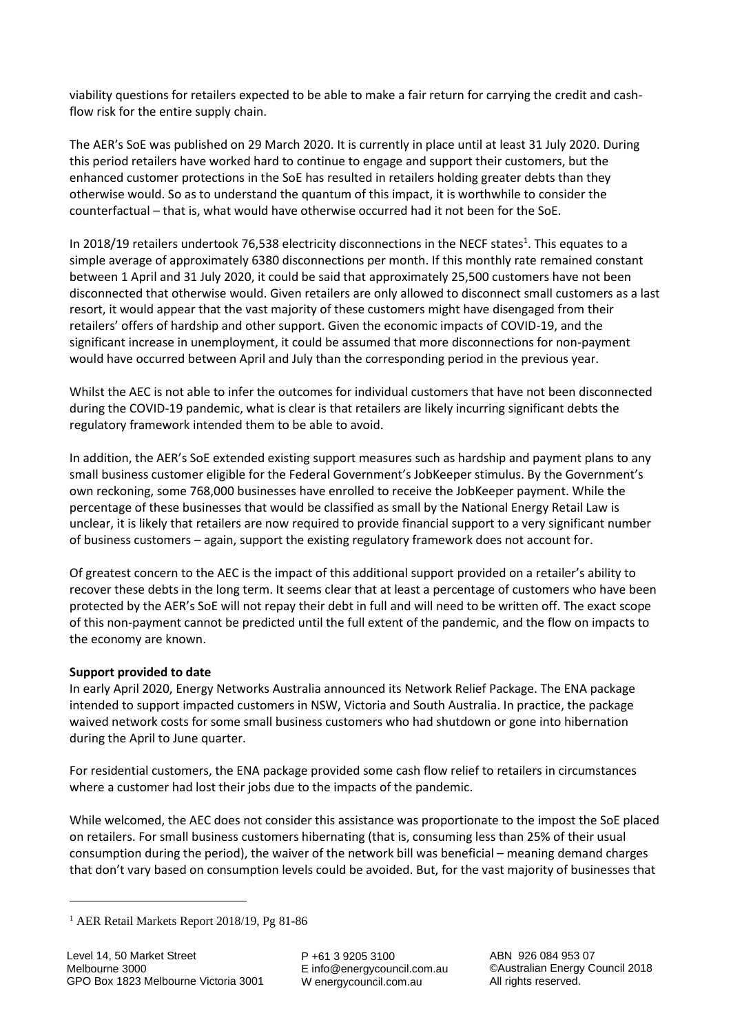viability questions for retailers expected to be able to make a fair return for carrying the credit and cashflow risk for the entire supply chain.

The AER's SoE was published on 29 March 2020. It is currently in place until at least 31 July 2020. During this period retailers have worked hard to continue to engage and support their customers, but the enhanced customer protections in the SoE has resulted in retailers holding greater debts than they otherwise would. So as to understand the quantum of this impact, it is worthwhile to consider the counterfactual – that is, what would have otherwise occurred had it not been for the SoE.

In 2018/19 retailers undertook 76,538 electricity disconnections in the NECF states<sup>1</sup>. This equates to a simple average of approximately 6380 disconnections per month. If this monthly rate remained constant between 1 April and 31 July 2020, it could be said that approximately 25,500 customers have not been disconnected that otherwise would. Given retailers are only allowed to disconnect small customers as a last resort, it would appear that the vast majority of these customers might have disengaged from their retailers' offers of hardship and other support. Given the economic impacts of COVID-19, and the significant increase in unemployment, it could be assumed that more disconnections for non-payment would have occurred between April and July than the corresponding period in the previous year.

Whilst the AEC is not able to infer the outcomes for individual customers that have not been disconnected during the COVID-19 pandemic, what is clear is that retailers are likely incurring significant debts the regulatory framework intended them to be able to avoid.

In addition, the AER's SoE extended existing support measures such as hardship and payment plans to any small business customer eligible for the Federal Government's JobKeeper stimulus. By the Government's own reckoning, some 768,000 businesses have enrolled to receive the JobKeeper payment. While the percentage of these businesses that would be classified as small by the National Energy Retail Law is unclear, it is likely that retailers are now required to provide financial support to a very significant number of business customers – again, support the existing regulatory framework does not account for.

Of greatest concern to the AEC is the impact of this additional support provided on a retailer's ability to recover these debts in the long term. It seems clear that at least a percentage of customers who have been protected by the AER's SoE will not repay their debt in full and will need to be written off. The exact scope of this non-payment cannot be predicted until the full extent of the pandemic, and the flow on impacts to the economy are known.

# **Support provided to date**

In early April 2020, Energy Networks Australia announced its Network Relief Package. The ENA package intended to support impacted customers in NSW, Victoria and South Australia. In practice, the package waived network costs for some small business customers who had shutdown or gone into hibernation during the April to June quarter.

For residential customers, the ENA package provided some cash flow relief to retailers in circumstances where a customer had lost their jobs due to the impacts of the pandemic.

While welcomed, the AEC does not consider this assistance was proportionate to the impost the SoE placed on retailers. For small business customers hibernating (that is, consuming less than 25% of their usual consumption during the period), the waiver of the network bill was beneficial – meaning demand charges that don't vary based on consumption levels could be avoided. But, for the vast majority of businesses that

P +61 3 9205 3100 E info@energycouncil.com.au W energycouncil.com.au

<sup>&</sup>lt;sup>1</sup> AER Retail Markets Report 2018/19, Pg 81-86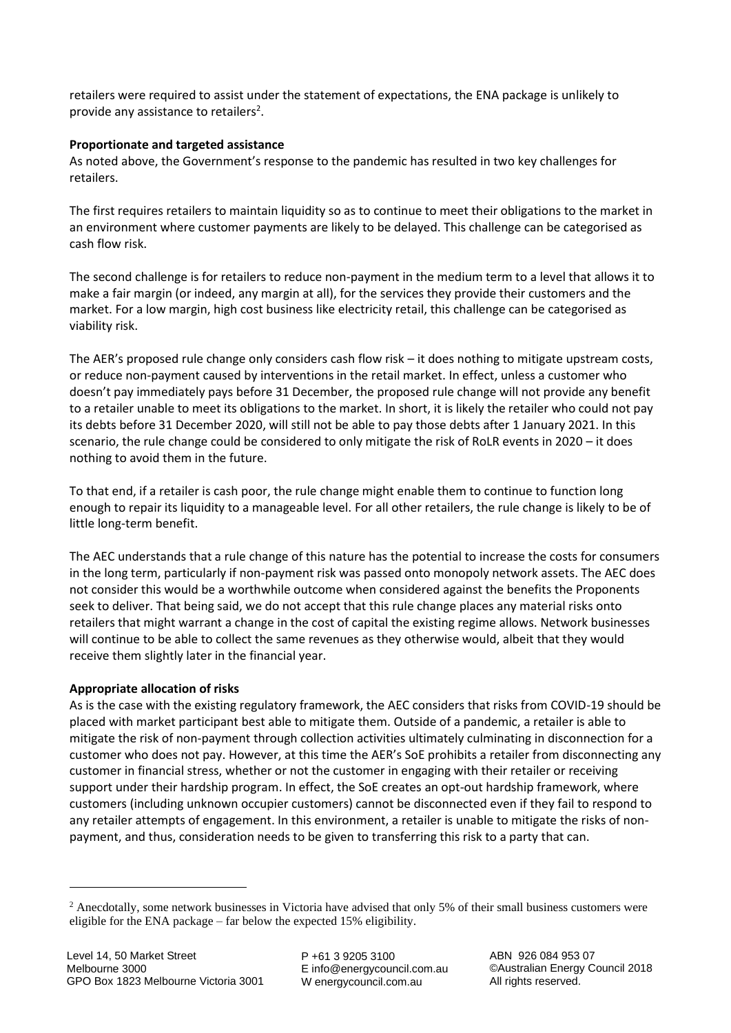retailers were required to assist under the statement of expectations, the ENA package is unlikely to provide any assistance to retailers<sup>2</sup>.

## **Proportionate and targeted assistance**

As noted above, the Government's response to the pandemic has resulted in two key challenges for retailers.

The first requires retailers to maintain liquidity so as to continue to meet their obligations to the market in an environment where customer payments are likely to be delayed. This challenge can be categorised as cash flow risk.

The second challenge is for retailers to reduce non-payment in the medium term to a level that allows it to make a fair margin (or indeed, any margin at all), for the services they provide their customers and the market. For a low margin, high cost business like electricity retail, this challenge can be categorised as viability risk.

The AER's proposed rule change only considers cash flow risk – it does nothing to mitigate upstream costs, or reduce non-payment caused by interventions in the retail market. In effect, unless a customer who doesn't pay immediately pays before 31 December, the proposed rule change will not provide any benefit to a retailer unable to meet its obligations to the market. In short, it is likely the retailer who could not pay its debts before 31 December 2020, will still not be able to pay those debts after 1 January 2021. In this scenario, the rule change could be considered to only mitigate the risk of RoLR events in 2020 – it does nothing to avoid them in the future.

To that end, if a retailer is cash poor, the rule change might enable them to continue to function long enough to repair its liquidity to a manageable level. For all other retailers, the rule change is likely to be of little long-term benefit.

The AEC understands that a rule change of this nature has the potential to increase the costs for consumers in the long term, particularly if non-payment risk was passed onto monopoly network assets. The AEC does not consider this would be a worthwhile outcome when considered against the benefits the Proponents seek to deliver. That being said, we do not accept that this rule change places any material risks onto retailers that might warrant a change in the cost of capital the existing regime allows. Network businesses will continue to be able to collect the same revenues as they otherwise would, albeit that they would receive them slightly later in the financial year.

# **Appropriate allocation of risks**

As is the case with the existing regulatory framework, the AEC considers that risks from COVID-19 should be placed with market participant best able to mitigate them. Outside of a pandemic, a retailer is able to mitigate the risk of non-payment through collection activities ultimately culminating in disconnection for a customer who does not pay. However, at this time the AER's SoE prohibits a retailer from disconnecting any customer in financial stress, whether or not the customer in engaging with their retailer or receiving support under their hardship program. In effect, the SoE creates an opt-out hardship framework, where customers (including unknown occupier customers) cannot be disconnected even if they fail to respond to any retailer attempts of engagement. In this environment, a retailer is unable to mitigate the risks of nonpayment, and thus, consideration needs to be given to transferring this risk to a party that can.

P +61 3 9205 3100 E info@energycouncil.com.au W energycouncil.com.au

 $2$  Anecdotally, some network businesses in Victoria have advised that only 5% of their small business customers were eligible for the ENA package – far below the expected 15% eligibility.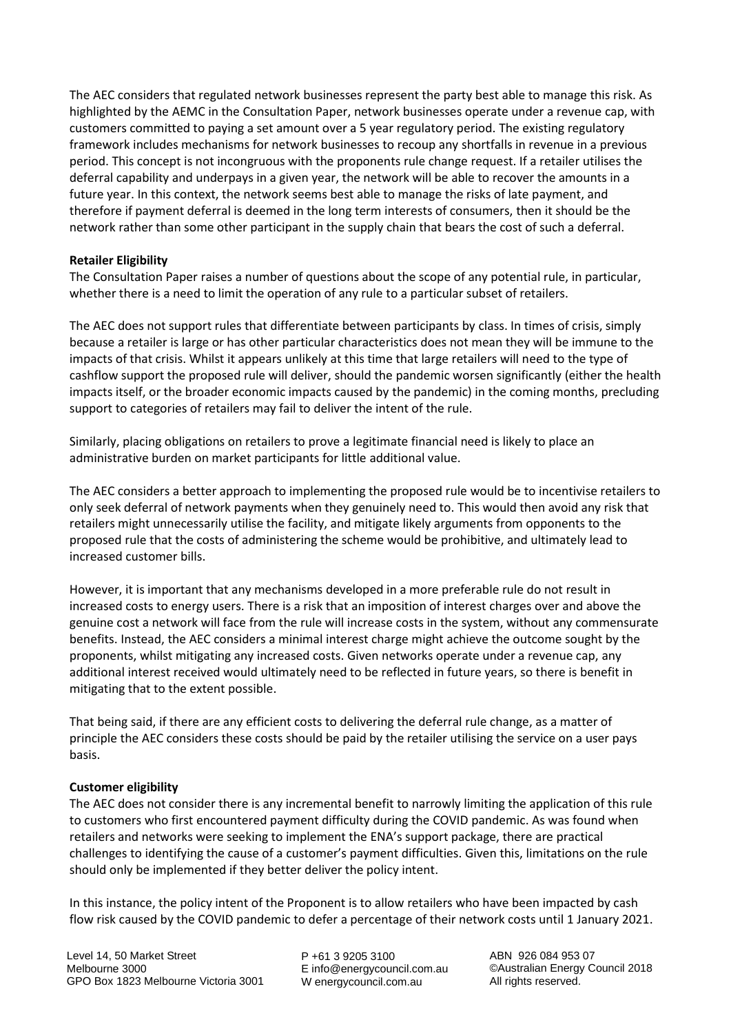The AEC considers that regulated network businesses represent the party best able to manage this risk. As highlighted by the AEMC in the Consultation Paper, network businesses operate under a revenue cap, with customers committed to paying a set amount over a 5 year regulatory period. The existing regulatory framework includes mechanisms for network businesses to recoup any shortfalls in revenue in a previous period. This concept is not incongruous with the proponents rule change request. If a retailer utilises the deferral capability and underpays in a given year, the network will be able to recover the amounts in a future year. In this context, the network seems best able to manage the risks of late payment, and therefore if payment deferral is deemed in the long term interests of consumers, then it should be the network rather than some other participant in the supply chain that bears the cost of such a deferral.

### **Retailer Eligibility**

The Consultation Paper raises a number of questions about the scope of any potential rule, in particular, whether there is a need to limit the operation of any rule to a particular subset of retailers.

The AEC does not support rules that differentiate between participants by class. In times of crisis, simply because a retailer is large or has other particular characteristics does not mean they will be immune to the impacts of that crisis. Whilst it appears unlikely at this time that large retailers will need to the type of cashflow support the proposed rule will deliver, should the pandemic worsen significantly (either the health impacts itself, or the broader economic impacts caused by the pandemic) in the coming months, precluding support to categories of retailers may fail to deliver the intent of the rule.

Similarly, placing obligations on retailers to prove a legitimate financial need is likely to place an administrative burden on market participants for little additional value.

The AEC considers a better approach to implementing the proposed rule would be to incentivise retailers to only seek deferral of network payments when they genuinely need to. This would then avoid any risk that retailers might unnecessarily utilise the facility, and mitigate likely arguments from opponents to the proposed rule that the costs of administering the scheme would be prohibitive, and ultimately lead to increased customer bills.

However, it is important that any mechanisms developed in a more preferable rule do not result in increased costs to energy users. There is a risk that an imposition of interest charges over and above the genuine cost a network will face from the rule will increase costs in the system, without any commensurate benefits. Instead, the AEC considers a minimal interest charge might achieve the outcome sought by the proponents, whilst mitigating any increased costs. Given networks operate under a revenue cap, any additional interest received would ultimately need to be reflected in future years, so there is benefit in mitigating that to the extent possible.

That being said, if there are any efficient costs to delivering the deferral rule change, as a matter of principle the AEC considers these costs should be paid by the retailer utilising the service on a user pays basis.

### **Customer eligibility**

The AEC does not consider there is any incremental benefit to narrowly limiting the application of this rule to customers who first encountered payment difficulty during the COVID pandemic. As was found when retailers and networks were seeking to implement the ENA's support package, there are practical challenges to identifying the cause of a customer's payment difficulties. Given this, limitations on the rule should only be implemented if they better deliver the policy intent.

In this instance, the policy intent of the Proponent is to allow retailers who have been impacted by cash flow risk caused by the COVID pandemic to defer a percentage of their network costs until 1 January 2021.

P +61 3 9205 3100 E info@energycouncil.com.au W energycouncil.com.au